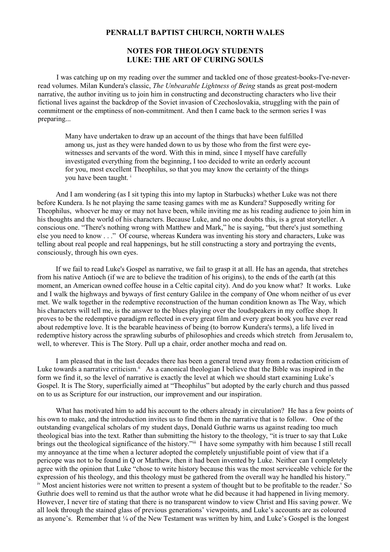## **PENRALLT BAPTIST CHURCH, NORTH WALES**

# **NOTES FOR THEOLOGY STUDENTS LUKE: THE ART OF CURING SOULS**

I was catching up on my reading over the summer and tackled one of those greatest-books-I've-neverread volumes. Milan Kundera's classic, *The Unbearable Lightness of Being* stands as great post-modern narrative, the author inviting us to join him in constructing and deconstructing characters who live their fictional lives against the backdrop of the Soviet invasion of Czechoslovakia, struggling with the pain of commitment or the emptiness of non-commitment. And then I came back to the sermon series I was preparing...

Many have undertaken to draw up an account of the things that have been fulfilled among us, just as they were handed down to us by those who from the first were eyewitnesses and servants of the word. With this in mind, since I myself have carefully investigated everything from the beginning, I too decided to write an orderly account for you, most excellent Theophilus, so that you may know the certainty of the things you have been taught.<sup>[i](#page-4-0)</sup>

And I am wondering (as I sit typing this into my laptop in Starbucks) whether Luke was not there before Kundera. Is he not playing the same teasing games with me as Kundera? Supposedly writing for Theophilus, whoever he may or may not have been, while inviting me as his reading audience to join him in his thoughts and the world of his characters. Because Luke, and no one doubts this, is a great storyteller. A conscious one. "There's nothing wrong with Matthew and Mark," he is saying, "but there's just something else you need to know . . ." Of course, whereas Kundera was inventing his story and characters, Luke was telling about real people and real happenings, but he still constructing a story and portraying the events, consciously, through his own eyes.

If we fail to read Luke's Gospel as narrative, we fail to grasp it at all. He has an agenda, that stretches from his native Antioch (if we are to believe the tradition of his origins), to the ends of the earth (at this moment, an American owned coffee house in a Celtic capital city). And do you know what? It works. Luke and I walk the highways and byways of first century Galilee in the company of One whom neither of us ever met. We walk together in the redemptive reconstruction of the human condition known as The Way, which his characters will tell me, is the answer to the blues playing over the loudspeakers in my coffee shop. It proves to be the redemptive paradigm reflected in every great film and every great book you have ever read about redemptive love. It is the bearable heaviness of being (to borrow Kundera's terms), a life lived in redemptive history across the sprawling suburbs of philosophies and creeds which stretch from Jerusalem to, well, to wherever. This is The Story. Pull up a chair, order another mocha and read on.

I am pleased that in the last decades there has been a general trend away from a redaction criticism of Luke towards a narrative criticism.<sup>[ii](#page-4-1)</sup> As a canonical theologian I believe that the Bible was inspired in the form we find it, so the level of narrative is exactly the level at which we should start examining Luke's Gospel. It is The Story, superficially aimed at "Theophilus" but adopted by the early church and thus passed on to us as Scripture for our instruction, our improvement and our inspiration.

What has motivated him to add his account to the others already in circulation? He has a few points of his own to make, and the introduction invites us to find them in the narrative that is to follow. One of the outstanding evangelical scholars of my student days, Donald Guthrie warns us against reading too much theological bias into the text. Rather than submitting the history to the theology, "it is truer to say that Luke brings out the theological significance of the history.<sup>"[iii](#page-4-2)</sup> I have some sympathy with him because I still recall my annoyance at the time when a lecturer adopted the completely unjustifiable point of view that if a pericope was not to be found in Q or Matthew, then it had been invented by Luke. Neither can I completely agree with the opinion that Luke "chose to write history because this was the most serviceable vehicle for the expression of his theology, and this theology must be gathered from the overall way he handled his history." [iv](#page-4-3) Most ancient histories were not written to present a system of thought but to be profitable to the reader.<sup>[v](#page-4-4)</sup> So Guthrie does well to remind us that the author wrote what he did because it had happened in living memory. However, I never tire of stating that there is no transparent window to view Christ and His saving power. We all look through the stained glass of previous generations' viewpoints, and Luke's accounts are as coloured as anyone's. Remember that ¼ of the New Testament was written by him, and Luke's Gospel is the longest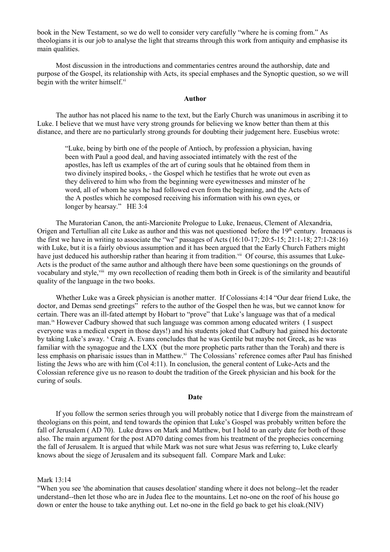book in the New Testament, so we do well to consider very carefully "where he is coming from." As theologians it is our job to analyse the light that streams through this work from antiquity and emphasise its main qualities.

Most discussion in the introductions and commentaries centres around the authorship, date and purpose of the Gospel, its relationship with Acts, its special emphases and the Synoptic question, so we will begin with the writer himself.<sup>[vi](#page-4-5)</sup>

## **Author**

The author has not placed his name to the text, but the Early Church was unanimous in ascribing it to Luke. I believe that we must have very strong grounds for believing we know better than them at this distance, and there are no particularly strong grounds for doubting their judgement here. Eusebius wrote:

"Luke, being by birth one of the people of Antioch, by profession a physician, having been with Paul a good deal, and having associated intimately with the rest of the apostles, has left us examples of the art of curing souls that he obtained from them in two divinely inspired books, - the Gospel which he testifies that he wrote out even as they delivered to him who from the beginning were eyewitnesses and minster of he word, all of whom he says he had followed even from the beginning, and the Acts of the A postles which he composed receiving his information with his own eyes, or longer by hearsay." HE 3:4

The Muratorian Canon, the anti-Marcionite Prologue to Luke, Irenaeus, Clement of Alexandria, Origen and Tertullian all cite Luke as author and this was not questioned before the 19<sup>th</sup> century. Irenaeus is the first we have in writing to associate the "we" passages of Acts (16:10-17; 20:5-15; 21:1-18; 27:1-28:16) with Luke, but it is a fairly obvious assumption and it has been argued that the Early Church Fathers might have just deduced his authorship rather than hearing it from tradition.<sup>[vii](#page-4-6)</sup> Of course, this assumes that Luke-Acts is the product of the same author and although there have been some questionings on the grounds of vocabulary and style,<sup>[viii](#page-4-7)</sup> my own recollection of reading them both in Greek is of the similarity and beautiful quality of the language in the two books.

Whether Luke was a Greek physician is another matter. If Colossians 4:14 "Our dear friend Luke, the doctor, and Demas send greetings" refers to the author of the Gospel then he was, but we cannot know for certain. There was an ill-fated attempt by Hobart to "prove" that Luke's language was that of a medical man.<sup>[ix](#page-4-8)</sup> However Cadbury showed that such language was common among educated writers (I suspect everyone was a medical expert in those days!) and his students joked that Cadbury had gained his doctorate by taking Luke's away. <sup>[x](#page-4-9)</sup> Craig A. Evans concludes that he was Gentile but maybe not Greek, as he was familiar with the synagogue and the LXX (but the more prophetic parts rather than the Torah) and there is less emphasis on pharisaic issues than in Matthew.<sup>[xi](#page-4-10)</sup> The Colossians' reference comes after Paul has finished listing the Jews who are with him (Col 4:11). In conclusion, the general content of Luke-Acts and the Colossian reference give us no reason to doubt the tradition of the Greek physician and his book for the curing of souls.

#### **Date**

If you follow the sermon series through you will probably notice that I diverge from the mainstream of theologians on this point, and tend towards the opinion that Luke's Gospel was probably written before the fall of Jerusalem ( AD 70). Luke draws on Mark and Matthew, but I hold to an early date for both of those also. The main argument for the post AD70 dating comes from his treatment of the prophecies concerning the fall of Jerusalem. It is argued that while Mark was not sure what Jesus was referring to, Luke clearly knows about the siege of Jerusalem and its subsequent fall. Compare Mark and Luke:

#### Mark 13:14

"When you see 'the abomination that causes desolation' standing where it does not belong--let the reader understand--then let those who are in Judea flee to the mountains. Let no-one on the roof of his house go down or enter the house to take anything out. Let no-one in the field go back to get his cloak.(NIV)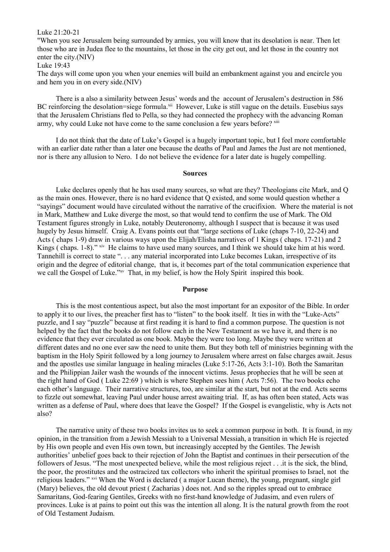### Luke 21:20-21

"When you see Jerusalem being surrounded by armies, you will know that its desolation is near. Then let those who are in Judea flee to the mountains, let those in the city get out, and let those in the country not enter the city.(NIV)

Luke 19:43

The days will come upon you when your enemies will build an embankment against you and encircle you and hem you in on every side.(NIV)

There is a also a similarity between Jesus' words and the account of Jerusalem's destruction in 586 BC reinforcing the desolation=siege formula.<sup>[xii](#page-4-11)</sup> However, Luke is still vague on the details. Eusebius says that the Jerusalem Christians fled to Pella, so they had connected the prophecy with the advancing Roman army, why could Luke not have come to the same conclusion a few years before? [xiii](#page-4-12)

I do not think that the date of Luke's Gospel is a hugely important topic, but I feel more comfortable with an earlier date rather than a later one because the deaths of Paul and James the Just are not mentioned, nor is there any allusion to Nero. I do not believe the evidence for a later date is hugely compelling.

#### **Sources**

Luke declares openly that he has used many sources, so what are they? Theologians cite Mark, and Q as the main ones. However, there is no hard evidence that Q existed, and some would question whether a "sayings" document would have circulated without the narrative of the crucifixion. Where the material is not in Mark, Matthew and Luke diverge the most, so that would tend to confirm the use of Mark. The Old Testament figures strongly in Luke, notably Deuteronomy, although I suspect that is because it was used hugely by Jesus himself. Craig A. Evans points out that "large sections of Luke (chaps 7-10, 22-24) and Acts ( chaps 1-9) draw in various ways upon the Elijah/Elisha narratives of 1 Kings ( chaps. 17-21) and 2 Kings (chaps. 1-8)." [xiv](#page-4-13) He claims to have used many sources, and I think we should take him at his word. Tannehill is correct to state ". . . any material incorporated into Luke becomes Lukan, irrespective of its origin and the degree of editorial change, that is, it becomes part of the total communication experience that we call the Gospel of Luke."<sup>[xv](#page-4-14)</sup> That, in my belief, is how the Holy Spirit inspired this book.

#### **Purpose**

This is the most contentious aspect, but also the most important for an expositor of the Bible. In order to apply it to our lives, the preacher first has to "listen" to the book itself. It ties in with the "Luke-Acts" puzzle, and I say "puzzle" because at first reading it is hard to find a common purpose. The question is not helped by the fact that the books do not follow each in the New Testament as we have it, and there is no evidence that they ever circulated as one book. Maybe they were too long. Maybe they were written at different dates and no one ever saw the need to unite them. But they both tell of ministries beginning with the baptism in the Holy Spirit followed by a long journey to Jerusalem where arrest on false charges await. Jesus and the apostles use similar language in healing miracles (Luke 5:17-26, Acts 3:1-10). Both the Samaritan and the Philippian Jailer wash the wounds of the innocent victims. Jesus prophecies that he will be seen at the right hand of God ( Luke 22:69 ) which is where Stephen sees him ( Acts 7:56). The two books echo each other's language. Their narrative structures, too, are similar at the start, but not at the end. Acts seems to fizzle out somewhat, leaving Paul under house arrest awaiting trial. If, as has often been stated, Acts was written as a defense of Paul, where does that leave the Gospel? If the Gospel is evangelistic, why is Acts not also?

The narrative unity of these two books invites us to seek a common purpose in both. It is found, in my opinion, in the transition from a Jewish Messiah to a Universal Messiah, a transition in which He is rejected by His own people and even His own town, but increasingly accepted by the Gentiles. The Jewish authorities' unbelief goes back to their rejection of John the Baptist and continues in their persecution of the followers of Jesus. "The most unexpected believe, while the most religious reject . . .it is the sick, the blind, the poor, the prostitutes and the ostracized tax collectors who inherit the spiritual promises to Israel, not the religious leaders." [xvi](#page-4-15) When the Word is declared ( a major Lucan theme), the young, pregnant, single girl (Mary) believes, the old devout priest ( Zacharias ) does not. And so the ripples spread out to embrace Samaritans, God-fearing Gentiles, Greeks with no first-hand knowledge of Judasim, and even rulers of provinces. Luke is at pains to point out this was the intention all along. It is the natural growth from the root of Old Testament Judaism.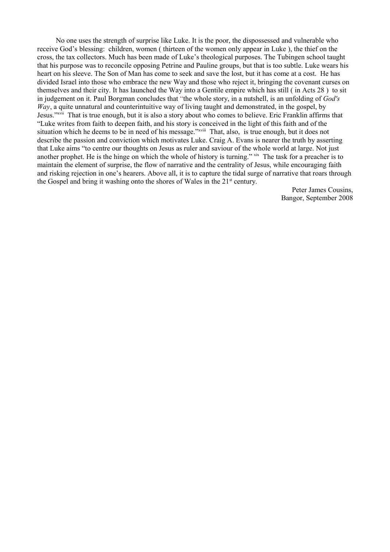No one uses the strength of surprise like Luke. It is the poor, the dispossessed and vulnerable who receive God's blessing: children, women ( thirteen of the women only appear in Luke ), the thief on the cross, the tax collectors. Much has been made of Luke's theological purposes. The Tubingen school taught that his purpose was to reconcile opposing Petrine and Pauline groups, but that is too subtle. Luke wears his heart on his sleeve. The Son of Man has come to seek and save the lost, but it has come at a cost. He has divided Israel into those who embrace the new Way and those who reject it, bringing the covenant curses on themselves and their city. It has launched the Way into a Gentile empire which has still ( in Acts 28 ) to sit in judgement on it. Paul Borgman concludes that "the whole story, in a nutshell, is an unfolding of *God's Way*, a quite unnatural and counterintuitive way of living taught and demonstrated, in the gospel, by Jesus."[xvii](#page-4-16) That is true enough, but it is also a story about who comes to believe. Eric Franklin affirms that "Luke writes from faith to deepen faith, and his story is conceived in the light of this faith and of the situation which he deems to be in need of his message."*[xviii](#page-4-17)* That, also, is true enough, but it does not describe the passion and conviction which motivates Luke. Craig A. Evans is nearer the truth by asserting that Luke aims "to centre our thoughts on Jesus as ruler and saviour of the whole world at large. Not just another prophet. He is the hinge on which the whole of history is turning." [xix](#page-4-18) The task for a preacher is to maintain the element of surprise, the flow of narrative and the centrality of Jesus, while encouraging faith and risking rejection in one's hearers. Above all, it is to capture the tidal surge of narrative that roars through the Gospel and bring it washing onto the shores of Wales in the  $21<sup>st</sup>$  century.

> Peter James Cousins, Bangor, September 2008